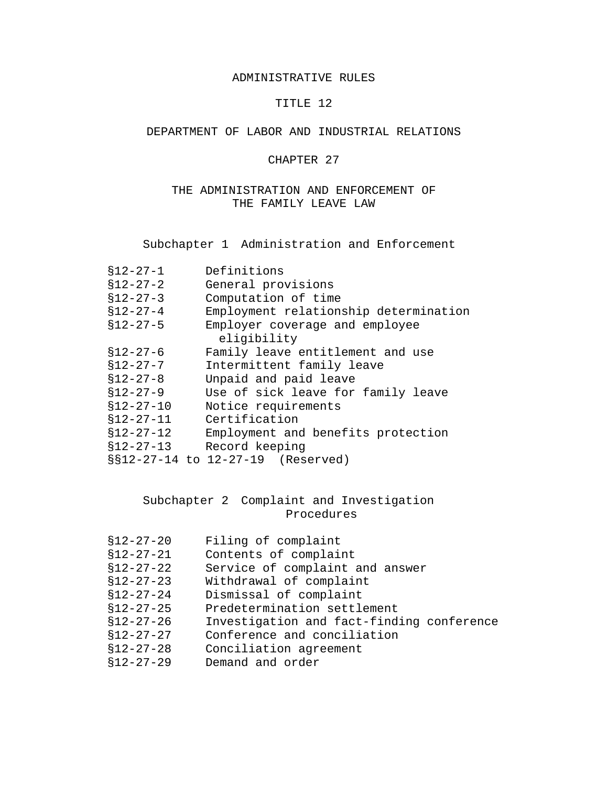#### ADMINISTRATIVE RULES

# TITLE 12

# DEPARTMENT OF LABOR AND INDUSTRIAL RELATIONS

#### CHAPTER 27

# THE ADMINISTRATION AND ENFORCEMENT OF THE FAMILY LEAVE LAW

Subchapter 1 Administration and Enforcement

| $$12 - 27 - 1$  | Definitions                           |
|-----------------|---------------------------------------|
| $$12 - 27 - 2$  | General provisions                    |
| $$12 - 27 - 3$  | Computation of time                   |
| $$12 - 27 - 4$  | Employment relationship determination |
| $$12 - 27 - 5$  | Employer coverage and employee        |
|                 | eligibility                           |
| $$12 - 27 - 6$  | Family leave entitlement and use      |
| $$12 - 27 - 7$  | Intermittent family leave             |
| $$12-27-8$      | Unpaid and paid leave                 |
| $$12 - 27 - 9$  | Use of sick leave for family leave    |
| $$12 - 27 - 10$ | Notice requirements                   |
| $$12 - 27 - 11$ | Certification                         |
| $$12 - 27 - 12$ | Employment and benefits protection    |
| $$12-27-13$     | Record keeping                        |
|                 | §§12-27-14 to 12-27-19 (Reserved)     |

# Subchapter 2 Complaint and Investigation Procedures

| $$12-27-20$     | Filing of complaint                       |
|-----------------|-------------------------------------------|
| $$12 - 27 - 21$ | Contents of complaint                     |
| $$12-27-22$     | Service of complaint and answer           |
| $$12 - 27 - 23$ | Withdrawal of complaint                   |
| $$12 - 27 - 24$ | Dismissal of complaint                    |
| $$12 - 27 - 25$ | Predetermination settlement               |
| $$12 - 27 - 26$ | Investigation and fact-finding conference |
| $$12 - 27 - 27$ | Conference and conciliation               |
| $$12 - 27 - 28$ | Conciliation agreement                    |
| $$12 - 27 - 29$ | Demand and order                          |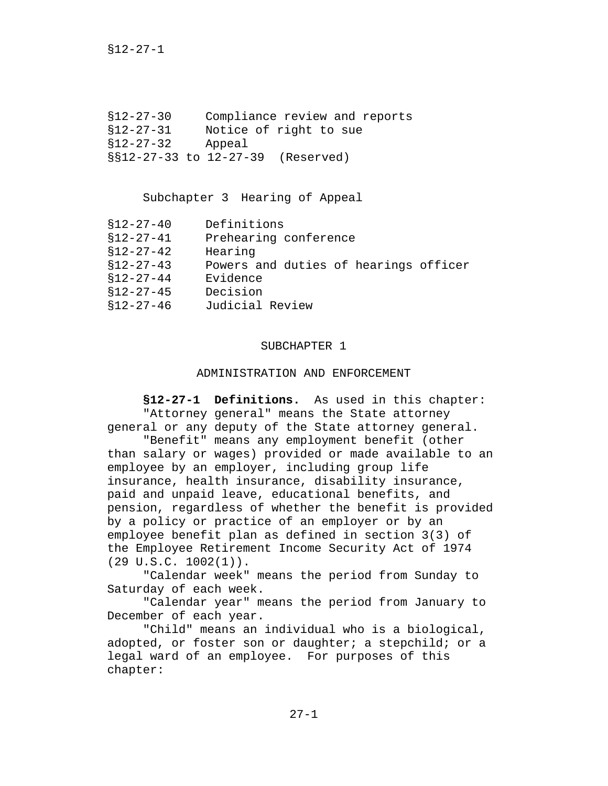§12-27-1

§12-27-30 Compliance review and reports §12-27-31 Notice of right to sue §12-27-32 Appeal §§12-27-33 to 12-27-39 (Reserved)

Subchapter 3 Hearing of Appeal

| §12-27-40       | Definitions                           |
|-----------------|---------------------------------------|
| $$12-27-41$     | Prehearing conference                 |
| $$12-27-42$     | Hearing                               |
| \$12-27-43      | Powers and duties of hearings officer |
| $$12-27-44$     | Evidence                              |
| $$12 - 27 - 45$ | Decision                              |
| $$12-27-46$     | Judicial Review                       |

#### SUBCHAPTER 1

#### ADMINISTRATION AND ENFORCEMENT

 **§12-27-1 Definitions.** As used in this chapter: "Attorney general" means the State attorney general or any deputy of the State attorney general.

"Benefit" means any employment benefit (other than salary or wages) provided or made available to an employee by an employer, including group life insurance, health insurance, disability insurance, paid and unpaid leave, educational benefits, and pension, regardless of whether the benefit is provided by a policy or practice of an employer or by an employee benefit plan as defined in section 3(3) of the Employee Retirement Income Security Act of 1974  $(29 \text{ U.S.C. } 1002(1))$ .

"Calendar week" means the period from Sunday to Saturday of each week.

"Calendar year" means the period from January to December of each year.

"Child" means an individual who is a biological, adopted, or foster son or daughter; a stepchild; or a legal ward of an employee. For purposes of this chapter: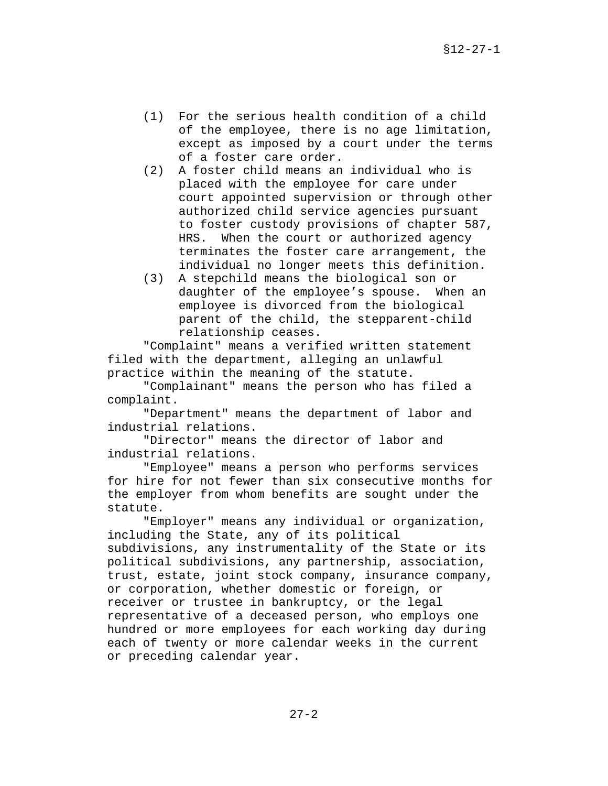- (1) For the serious health condition of a child of the employee, there is no age limitation, except as imposed by a court under the terms of a foster care order.
- (2) A foster child means an individual who is placed with the employee for care under court appointed supervision or through other authorized child service agencies pursuant to foster custody provisions of chapter 587, HRS. When the court or authorized agency terminates the foster care arrangement, the individual no longer meets this definition.
- (3) A stepchild means the biological son or daughter of the employee's spouse. When an employee is divorced from the biological parent of the child, the stepparent-child relationship ceases.

 "Complaint" means a verified written statement filed with the department, alleging an unlawful practice within the meaning of the statute.

"Complainant" means the person who has filed a complaint.

"Department" means the department of labor and industrial relations.

"Director" means the director of labor and industrial relations.

"Employee" means a person who performs services for hire for not fewer than six consecutive months for the employer from whom benefits are sought under the statute.

"Employer" means any individual or organization, including the State, any of its political subdivisions, any instrumentality of the State or its political subdivisions, any partnership, association, trust, estate, joint stock company, insurance company, or corporation, whether domestic or foreign, or receiver or trustee in bankruptcy, or the legal representative of a deceased person, who employs one hundred or more employees for each working day during each of twenty or more calendar weeks in the current or preceding calendar year.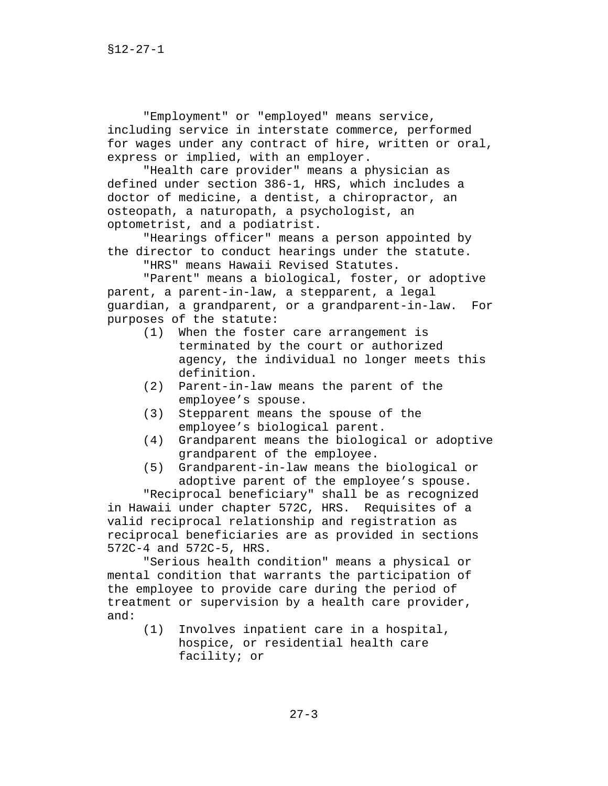"Employment" or "employed" means service, including service in interstate commerce, performed for wages under any contract of hire, written or oral, express or implied, with an employer.

"Health care provider" means a physician as defined under section 386-1, HRS, which includes a doctor of medicine, a dentist, a chiropractor, an osteopath, a naturopath, a psychologist, an optometrist, and a podiatrist.

"Hearings officer" means a person appointed by the director to conduct hearings under the statute.

"HRS" means Hawaii Revised Statutes.

"Parent" means a biological, foster, or adoptive parent, a parent-in-law, a stepparent, a legal guardian, a grandparent, or a grandparent-in-law. For purposes of the statute:

- (1) When the foster care arrangement is terminated by the court or authorized agency, the individual no longer meets this definition.
- (2) Parent-in-law means the parent of the employee's spouse.
- (3) Stepparent means the spouse of the employee's biological parent.
- (4) Grandparent means the biological or adoptive grandparent of the employee.
- (5) Grandparent-in-law means the biological or adoptive parent of the employee's spouse.

"Reciprocal beneficiary" shall be as recognized in Hawaii under chapter 572C, HRS. Requisites of a valid reciprocal relationship and registration as reciprocal beneficiaries are as provided in sections 572C-4 and 572C-5, HRS.

"Serious health condition" means a physical or mental condition that warrants the participation of the employee to provide care during the period of treatment or supervision by a health care provider, and:

> (1) Involves inpatient care in a hospital, hospice, or residential health care facility; or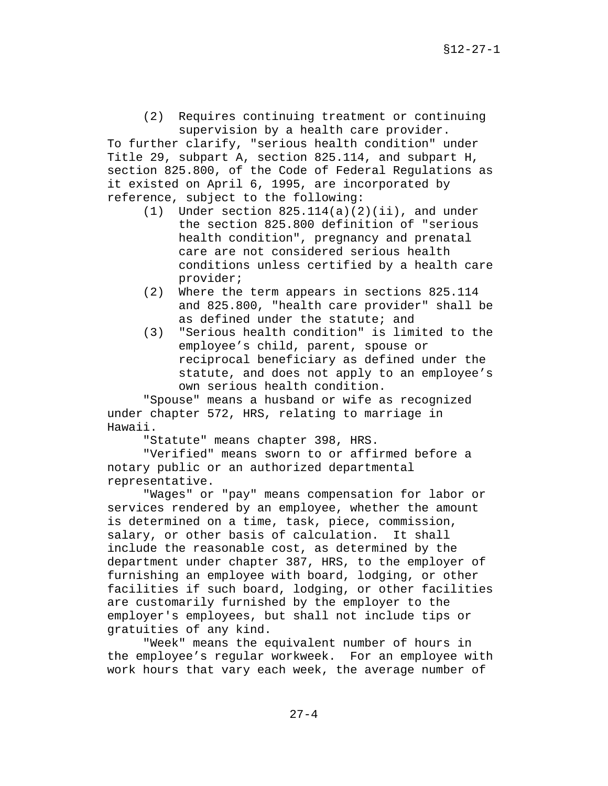(2) Requires continuing treatment or continuing supervision by a health care provider.

To further clarify, "serious health condition" under Title 29, subpart A, section 825.114, and subpart H, section 825.800, of the Code of Federal Regulations as it existed on April 6, 1995, are incorporated by reference, subject to the following:

- $(1)$  Under section 825.114(a)(2)(ii), and under the section 825.800 definition of "serious health condition", pregnancy and prenatal care are not considered serious health conditions unless certified by a health care provider;
- (2) Where the term appears in sections 825.114 and 825.800, "health care provider" shall be as defined under the statute; and
- (3) "Serious health condition" is limited to the employee's child, parent, spouse or reciprocal beneficiary as defined under the statute, and does not apply to an employee's own serious health condition.

"Spouse" means a husband or wife as recognized under chapter 572, HRS, relating to marriage in Hawaii.

"Statute" means chapter 398, HRS.

"Verified" means sworn to or affirmed before a notary public or an authorized departmental representative.

"Wages" or "pay" means compensation for labor or services rendered by an employee, whether the amount is determined on a time, task, piece, commission, salary, or other basis of calculation. It shall include the reasonable cost, as determined by the department under chapter 387, HRS, to the employer of furnishing an employee with board, lodging, or other facilities if such board, lodging, or other facilities are customarily furnished by the employer to the employer's employees, but shall not include tips or gratuities of any kind.

"Week" means the equivalent number of hours in the employee's regular workweek. For an employee with work hours that vary each week, the average number of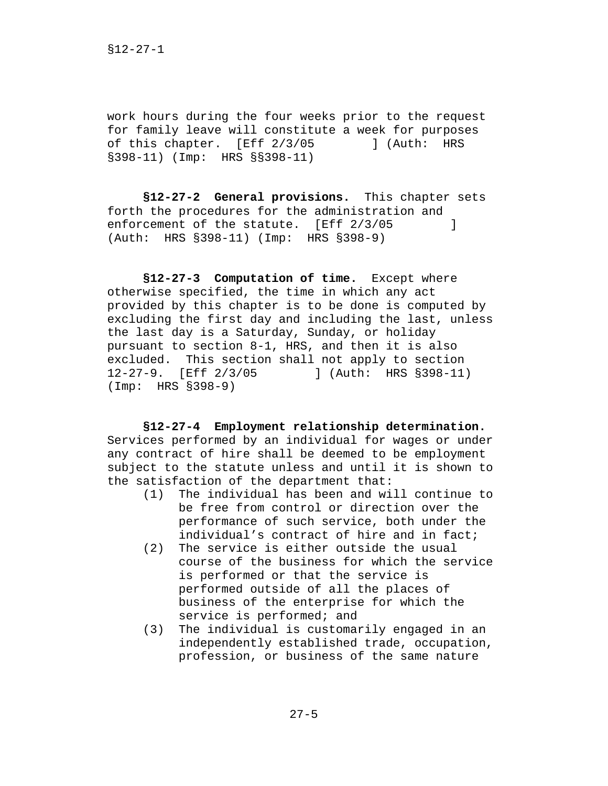work hours during the four weeks prior to the request for family leave will constitute a week for purposes of this chapter. [Eff 2/3/05 ] (Auth: HRS §398-11) (Imp: HRS §§398-11)

**§12-27-2 General provisions.** This chapter sets forth the procedures for the administration and enforcement of the statute. [Eff 2/3/05 ] (Auth: HRS §398-11) (Imp: HRS §398-9)

**§12-27-3 Computation of time.** Except where otherwise specified, the time in which any act provided by this chapter is to be done is computed by excluding the first day and including the last, unless the last day is a Saturday, Sunday, or holiday pursuant to section 8-1, HRS, and then it is also excluded. This section shall not apply to section 12-27-9. [Eff 2/3/05 ] (Auth: HRS §398-11) (Imp: HRS §398-9)

**§12-27-4 Employment relationship determination.**  Services performed by an individual for wages or under any contract of hire shall be deemed to be employment subject to the statute unless and until it is shown to the satisfaction of the department that:

- (1) The individual has been and will continue to be free from control or direction over the performance of such service, both under the individual's contract of hire and in fact;
- (2) The service is either outside the usual course of the business for which the service is performed or that the service is performed outside of all the places of business of the enterprise for which the service is performed; and
- (3) The individual is customarily engaged in an independently established trade, occupation, profession, or business of the same nature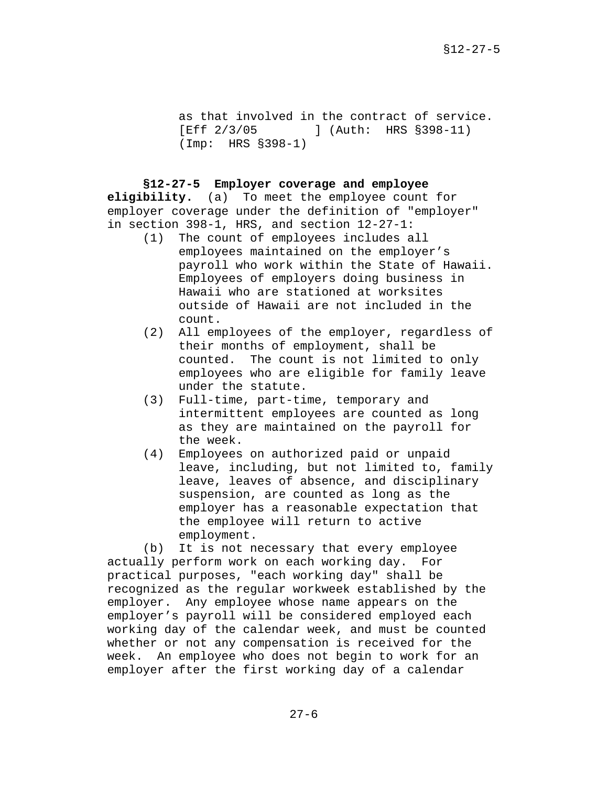as that involved in the contract of service. [Eff 2/3/05 ] (Auth: HRS §398-11) (Imp: HRS §398-1)

**§12-27-5 Employer coverage and employee** 

**eligibility.** (a) To meet the employee count for employer coverage under the definition of "employer" in section 398-1, HRS, and section 12-27-1:

- (1) The count of employees includes all employees maintained on the employer's payroll who work within the State of Hawaii. Employees of employers doing business in Hawaii who are stationed at worksites outside of Hawaii are not included in the count.
- (2) All employees of the employer, regardless of their months of employment, shall be counted. The count is not limited to only employees who are eligible for family leave under the statute.
- (3) Full-time, part-time, temporary and intermittent employees are counted as long as they are maintained on the payroll for the week.
- (4) Employees on authorized paid or unpaid leave, including, but not limited to, family leave, leaves of absence, and disciplinary suspension, are counted as long as the employer has a reasonable expectation that the employee will return to active employment.

(b) It is not necessary that every employee actually perform work on each working day. For practical purposes, "each working day" shall be recognized as the regular workweek established by the employer. Any employee whose name appears on the employer's payroll will be considered employed each working day of the calendar week, and must be counted whether or not any compensation is received for the week. An employee who does not begin to work for an employer after the first working day of a calendar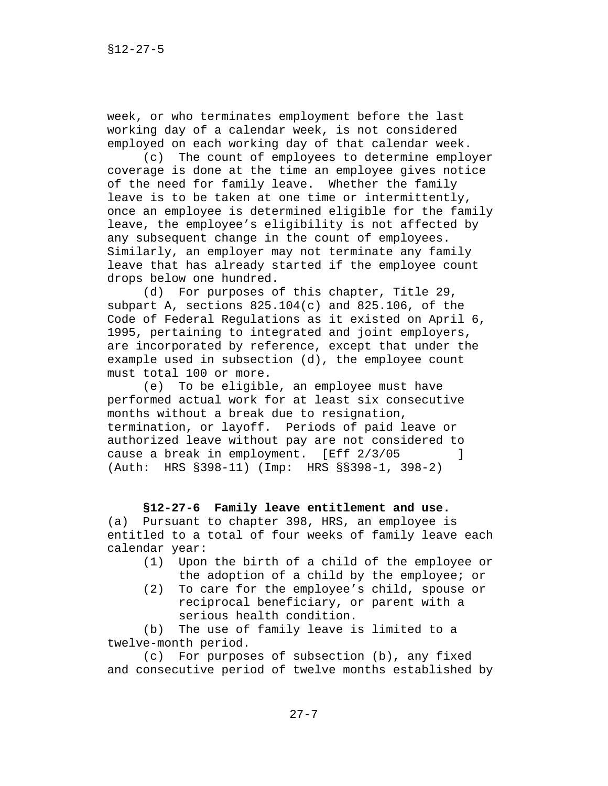week, or who terminates employment before the last working day of a calendar week, is not considered employed on each working day of that calendar week.

(c) The count of employees to determine employer coverage is done at the time an employee gives notice of the need for family leave. Whether the family leave is to be taken at one time or intermittently, once an employee is determined eligible for the family leave, the employee's eligibility is not affected by any subsequent change in the count of employees. Similarly, an employer may not terminate any family leave that has already started if the employee count drops below one hundred.

(d) For purposes of this chapter, Title 29, subpart A, sections 825.104(c) and 825.106, of the Code of Federal Regulations as it existed on April 6, 1995, pertaining to integrated and joint employers, are incorporated by reference, except that under the example used in subsection (d), the employee count must total 100 or more.

(e) To be eligible, an employee must have performed actual work for at least six consecutive months without a break due to resignation, termination, or layoff. Periods of paid leave or authorized leave without pay are not considered to cause a break in employment. [Eff 2/3/05] (Auth: HRS §398-11) (Imp: HRS §§398-1, 398-2)

#### **§12-27-6 Family leave entitlement and use.**

(a) Pursuant to chapter 398, HRS, an employee is entitled to a total of four weeks of family leave each calendar year:

- (1) Upon the birth of a child of the employee or the adoption of a child by the employee; or
- (2) To care for the employee's child, spouse or reciprocal beneficiary, or parent with a serious health condition.

(b) The use of family leave is limited to a twelve-month period.

(c) For purposes of subsection (b), any fixed and consecutive period of twelve months established by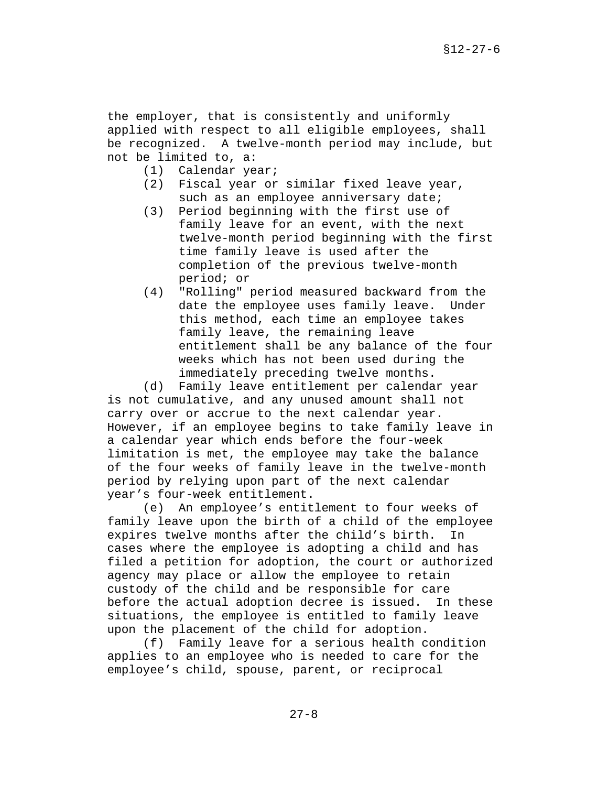the employer, that is consistently and uniformly applied with respect to all eligible employees, shall be recognized. A twelve-month period may include, but not be limited to, a:

- (1) Calendar year;
- (2) Fiscal year or similar fixed leave year, such as an employee anniversary date;
- (3) Period beginning with the first use of family leave for an event, with the next twelve-month period beginning with the first time family leave is used after the completion of the previous twelve-month period; or
- (4) "Rolling" period measured backward from the date the employee uses family leave. Under this method, each time an employee takes family leave, the remaining leave entitlement shall be any balance of the four weeks which has not been used during the immediately preceding twelve months.

(d) Family leave entitlement per calendar year is not cumulative, and any unused amount shall not carry over or accrue to the next calendar year. However, if an employee begins to take family leave in a calendar year which ends before the four-week limitation is met, the employee may take the balance of the four weeks of family leave in the twelve-month period by relying upon part of the next calendar year's four-week entitlement.

 (e) An employee's entitlement to four weeks of family leave upon the birth of a child of the employee expires twelve months after the child's birth. In cases where the employee is adopting a child and has filed a petition for adoption, the court or authorized agency may place or allow the employee to retain custody of the child and be responsible for care before the actual adoption decree is issued. In these situations, the employee is entitled to family leave upon the placement of the child for adoption.

(f) Family leave for a serious health condition applies to an employee who is needed to care for the employee's child, spouse, parent, or reciprocal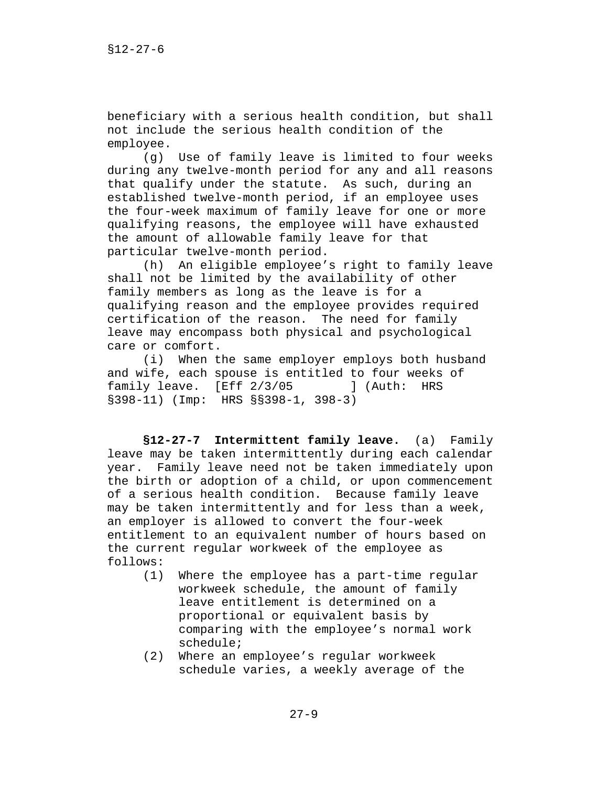beneficiary with a serious health condition, but shall not include the serious health condition of the employee.

(g) Use of family leave is limited to four weeks during any twelve-month period for any and all reasons that qualify under the statute. As such, during an established twelve-month period, if an employee uses the four-week maximum of family leave for one or more qualifying reasons, the employee will have exhausted the amount of allowable family leave for that particular twelve-month period.

(h) An eligible employee's right to family leave shall not be limited by the availability of other family members as long as the leave is for a qualifying reason and the employee provides required certification of the reason. The need for family leave may encompass both physical and psychological care or comfort.

(i) When the same employer employs both husband and wife, each spouse is entitled to four weeks of family leave. [Eff 2/3/05 ] (Auth: HRS §398-11) (Imp: HRS §§398-1, 398-3)

**§12-27-7 Intermittent family leave.** (a) Family leave may be taken intermittently during each calendar year. Family leave need not be taken immediately upon the birth or adoption of a child, or upon commencement of a serious health condition. Because family leave may be taken intermittently and for less than a week, an employer is allowed to convert the four-week entitlement to an equivalent number of hours based on the current regular workweek of the employee as follows:

- (1) Where the employee has a part-time regular workweek schedule, the amount of family leave entitlement is determined on a proportional or equivalent basis by comparing with the employee's normal work schedule;
- (2) Where an employee's regular workweek schedule varies, a weekly average of the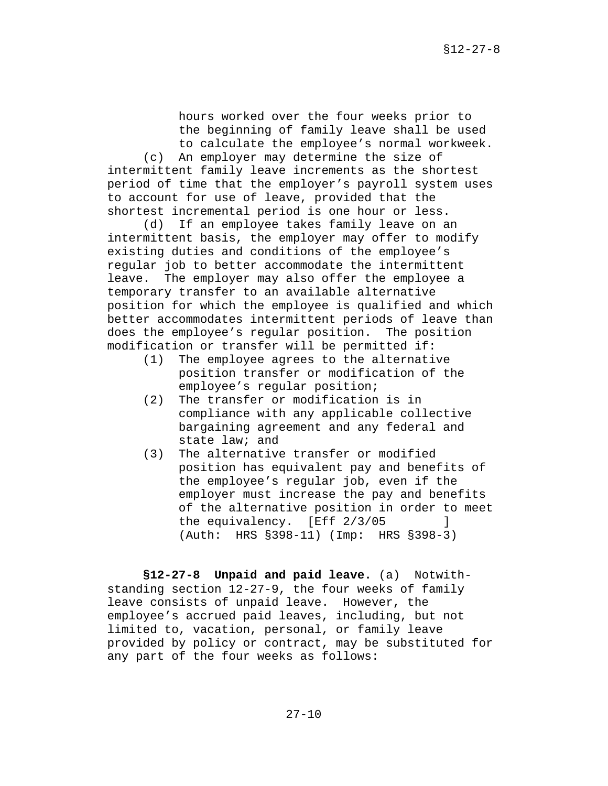hours worked over the four weeks prior to the beginning of family leave shall be used to calculate the employee's normal workweek.

(c) An employer may determine the size of intermittent family leave increments as the shortest period of time that the employer's payroll system uses to account for use of leave, provided that the shortest incremental period is one hour or less.

(d) If an employee takes family leave on an intermittent basis, the employer may offer to modify existing duties and conditions of the employee's regular job to better accommodate the intermittent leave. The employer may also offer the employee a temporary transfer to an available alternative position for which the employee is qualified and which better accommodates intermittent periods of leave than does the employee's regular position. The position modification or transfer will be permitted if:

- (1) The employee agrees to the alternative position transfer or modification of the employee's regular position;
- (2) The transfer or modification is in compliance with any applicable collective bargaining agreement and any federal and state law; and
- (3) The alternative transfer or modified position has equivalent pay and benefits of the employee's regular job, even if the employer must increase the pay and benefits of the alternative position in order to meet the equivalency. [Eff 2/3/05 ] (Auth: HRS §398-11) (Imp: HRS §398-3)

**§12-27-8 Unpaid and paid leave.** (a) Notwithstanding section 12-27-9, the four weeks of family leave consists of unpaid leave. However, the employee's accrued paid leaves, including, but not limited to, vacation, personal, or family leave provided by policy or contract, may be substituted for any part of the four weeks as follows: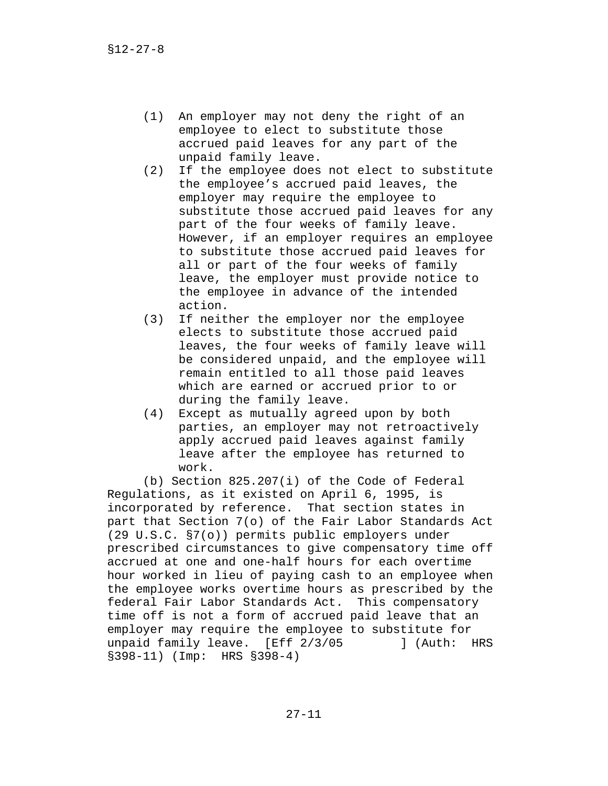- (1) An employer may not deny the right of an employee to elect to substitute those accrued paid leaves for any part of the unpaid family leave.
- (2) If the employee does not elect to substitute the employee's accrued paid leaves, the employer may require the employee to substitute those accrued paid leaves for any part of the four weeks of family leave. However, if an employer requires an employee to substitute those accrued paid leaves for all or part of the four weeks of family leave, the employer must provide notice to the employee in advance of the intended action.
- (3) If neither the employer nor the employee elects to substitute those accrued paid leaves, the four weeks of family leave will be considered unpaid, and the employee will remain entitled to all those paid leaves which are earned or accrued prior to or during the family leave.
- (4) Except as mutually agreed upon by both parties, an employer may not retroactively apply accrued paid leaves against family leave after the employee has returned to work.

(b) Section 825.207(i) of the Code of Federal Regulations, as it existed on April 6, 1995, is incorporated by reference. That section states in part that Section 7(o) of the Fair Labor Standards Act (29 U.S.C. §7(o)) permits public employers under prescribed circumstances to give compensatory time off accrued at one and one-half hours for each overtime hour worked in lieu of paying cash to an employee when the employee works overtime hours as prescribed by the federal Fair Labor Standards Act. This compensatory time off is not a form of accrued paid leave that an employer may require the employee to substitute for unpaid family leave. [Eff 2/3/05 ] (Auth: HRS §398-11) (Imp: HRS §398-4)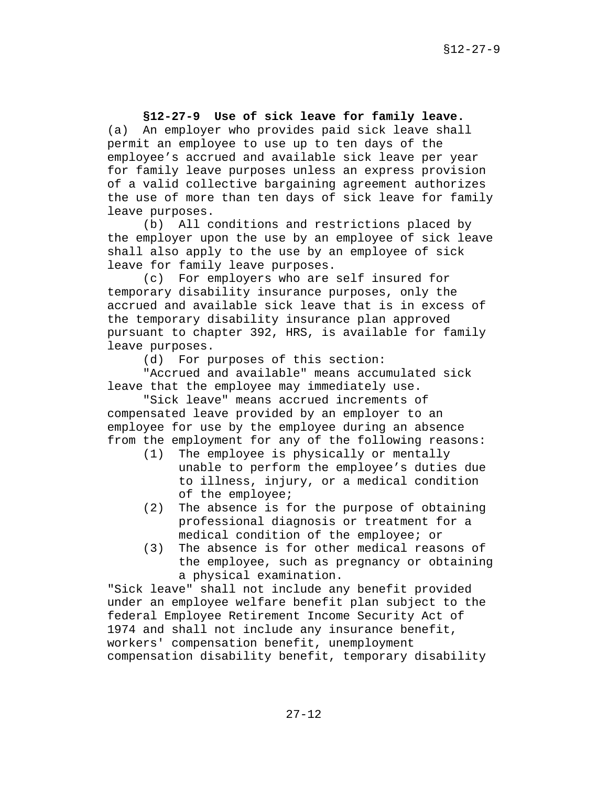# **§12-27-9 Use of sick leave for family leave.**

(a) An employer who provides paid sick leave shall permit an employee to use up to ten days of the employee's accrued and available sick leave per year for family leave purposes unless an express provision of a valid collective bargaining agreement authorizes the use of more than ten days of sick leave for family leave purposes.

 (b) All conditions and restrictions placed by the employer upon the use by an employee of sick leave shall also apply to the use by an employee of sick leave for family leave purposes.

(c) For employers who are self insured for temporary disability insurance purposes, only the accrued and available sick leave that is in excess of the temporary disability insurance plan approved pursuant to chapter 392, HRS, is available for family leave purposes.

(d) For purposes of this section:

"Accrued and available" means accumulated sick leave that the employee may immediately use.

"Sick leave" means accrued increments of compensated leave provided by an employer to an employee for use by the employee during an absence from the employment for any of the following reasons:

- (1) The employee is physically or mentally unable to perform the employee's duties due to illness, injury, or a medical condition of the employee;
- (2) The absence is for the purpose of obtaining professional diagnosis or treatment for a medical condition of the employee; or
- (3) The absence is for other medical reasons of the employee, such as pregnancy or obtaining a physical examination.

"Sick leave" shall not include any benefit provided under an employee welfare benefit plan subject to the federal Employee Retirement Income Security Act of 1974 and shall not include any insurance benefit, workers' compensation benefit, unemployment compensation disability benefit, temporary disability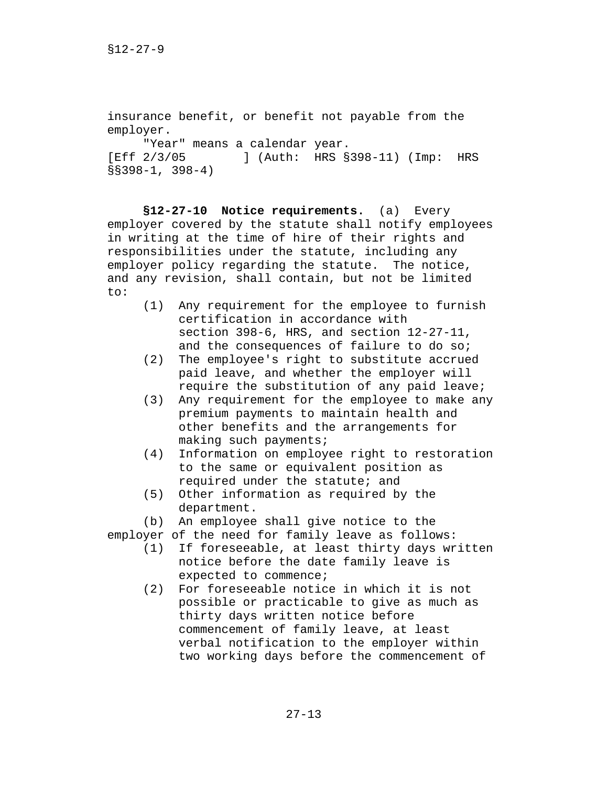```
insurance benefit, or benefit not payable from the 
employer. 
     "Year" means a calendar year. 
[Eff 2/3/05 ] (Auth: HRS §398-11) (Imp: HRS 
§§398-1, 398-4)
```
**§12-27-10 Notice requirements.** (a) Every employer covered by the statute shall notify employees in writing at the time of hire of their rights and responsibilities under the statute, including any employer policy regarding the statute. The notice, and any revision, shall contain, but not be limited to:

- (1) Any requirement for the employee to furnish certification in accordance with section 398-6, HRS, and section 12-27-11, and the consequences of failure to do so;
- (2) The employee's right to substitute accrued paid leave, and whether the employer will require the substitution of any paid leave;
- (3) Any requirement for the employee to make any premium payments to maintain health and other benefits and the arrangements for making such payments;
- (4) Information on employee right to restoration to the same or equivalent position as required under the statute; and
- (5) Other information as required by the department.

(b) An employee shall give notice to the

employer of the need for family leave as follows:

- (1) If foreseeable, at least thirty days written notice before the date family leave is expected to commence;
- (2) For foreseeable notice in which it is not possible or practicable to give as much as thirty days written notice before commencement of family leave, at least verbal notification to the employer within two working days before the commencement of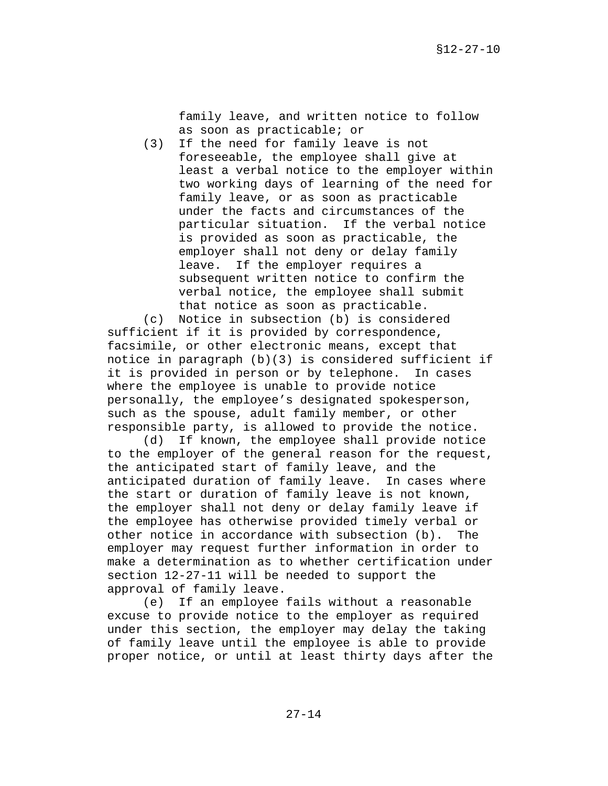family leave, and written notice to follow as soon as practicable; or

(3) If the need for family leave is not foreseeable, the employee shall give at least a verbal notice to the employer within two working days of learning of the need for family leave, or as soon as practicable under the facts and circumstances of the particular situation. If the verbal notice is provided as soon as practicable, the employer shall not deny or delay family leave. If the employer requires a subsequent written notice to confirm the verbal notice, the employee shall submit that notice as soon as practicable.

(c) Notice in subsection (b) is considered sufficient if it is provided by correspondence, facsimile, or other electronic means, except that notice in paragraph (b)(3) is considered sufficient if it is provided in person or by telephone. In cases where the employee is unable to provide notice personally, the employee's designated spokesperson, such as the spouse, adult family member, or other responsible party, is allowed to provide the notice.

(d) If known, the employee shall provide notice to the employer of the general reason for the request, the anticipated start of family leave, and the anticipated duration of family leave. In cases where the start or duration of family leave is not known, the employer shall not deny or delay family leave if the employee has otherwise provided timely verbal or other notice in accordance with subsection (b). The employer may request further information in order to make a determination as to whether certification under section 12-27-11 will be needed to support the approval of family leave.

(e) If an employee fails without a reasonable excuse to provide notice to the employer as required under this section, the employer may delay the taking of family leave until the employee is able to provide proper notice, or until at least thirty days after the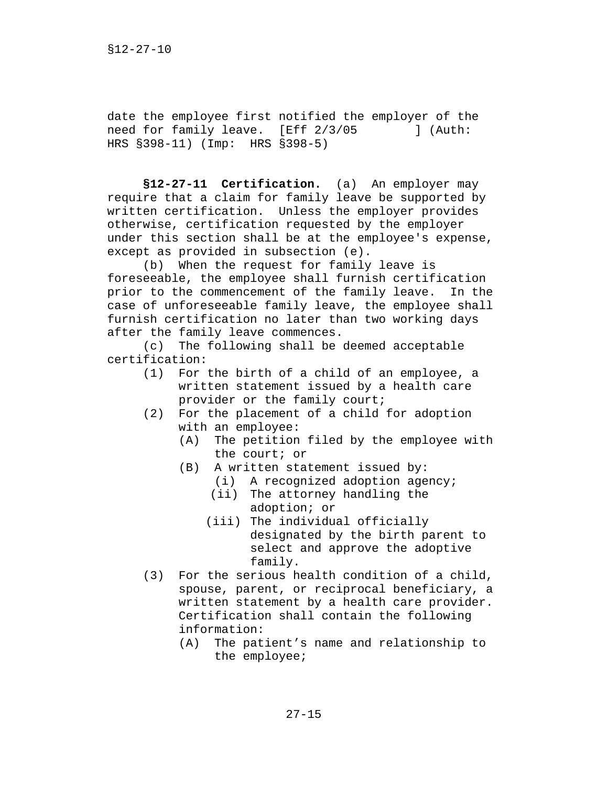date the employee first notified the employer of the need for family leave. [Eff 2/3/05 ] (Auth: HRS §398-11) (Imp: HRS §398-5)

**§12-27-11 Certification.** (a) An employer may require that a claim for family leave be supported by written certification. Unless the employer provides otherwise, certification requested by the employer under this section shall be at the employee's expense, except as provided in subsection (e).

(b) When the request for family leave is foreseeable, the employee shall furnish certification prior to the commencement of the family leave. In the case of unforeseeable family leave, the employee shall furnish certification no later than two working days after the family leave commences.

(c) The following shall be deemed acceptable certification:

- (1) For the birth of a child of an employee, a written statement issued by a health care provider or the family court;
- (2) For the placement of a child for adoption with an employee:
	- (A) The petition filed by the employee with the court; or
	- (B) A written statement issued by:
		- (i) A recognized adoption agency;
		- (ii) The attorney handling the adoption; or
		- (iii) The individual officially designated by the birth parent to select and approve the adoptive family.
- (3) For the serious health condition of a child, spouse, parent, or reciprocal beneficiary, a written statement by a health care provider. Certification shall contain the following information:
	- (A) The patient's name and relationship to the employee;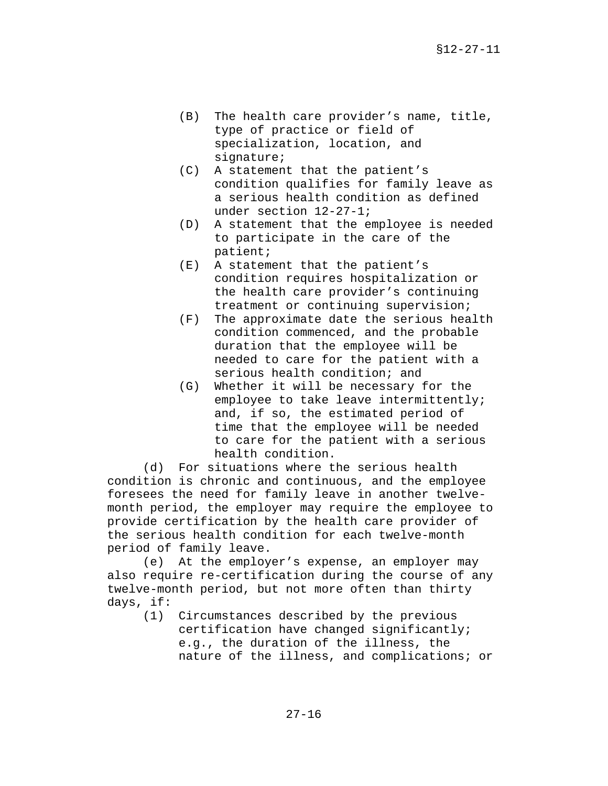- (B) The health care provider's name, title, type of practice or field of specialization, location, and signature;
- (C) A statement that the patient's condition qualifies for family leave as a serious health condition as defined under section 12-27-1;
- (D) A statement that the employee is needed to participate in the care of the patient;
- (E) A statement that the patient's condition requires hospitalization or the health care provider's continuing treatment or continuing supervision;
- (F) The approximate date the serious health condition commenced, and the probable duration that the employee will be needed to care for the patient with a serious health condition; and
- (G) Whether it will be necessary for the employee to take leave intermittently; and, if so, the estimated period of time that the employee will be needed to care for the patient with a serious health condition.

(d) For situations where the serious health condition is chronic and continuous, and the employee foresees the need for family leave in another twelvemonth period, the employer may require the employee to provide certification by the health care provider of the serious health condition for each twelve-month period of family leave.

(e) At the employer's expense, an employer may also require re-certification during the course of any twelve-month period, but not more often than thirty days, if:

(1) Circumstances described by the previous certification have changed significantly; e.g., the duration of the illness, the nature of the illness, and complications; or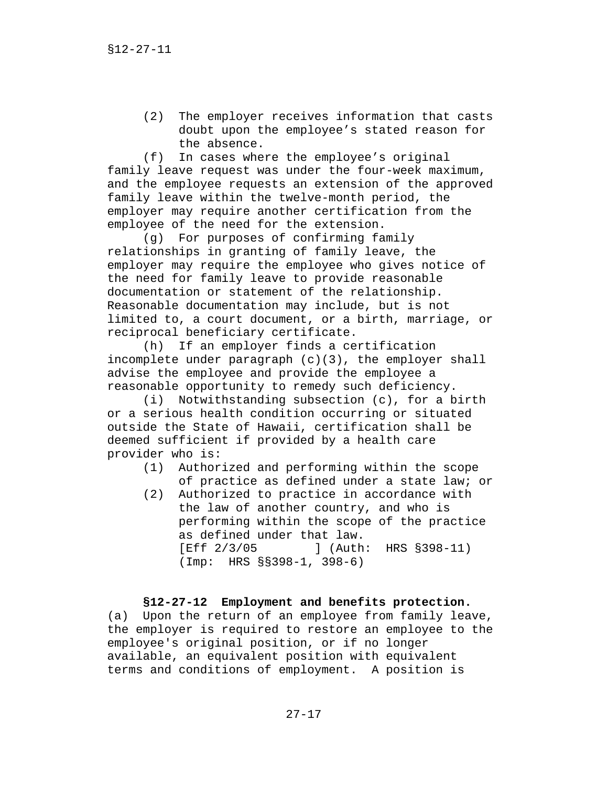(2) The employer receives information that casts doubt upon the employee's stated reason for the absence.

(f) In cases where the employee's original family leave request was under the four-week maximum, and the employee requests an extension of the approved family leave within the twelve-month period, the employer may require another certification from the employee of the need for the extension.

(g) For purposes of confirming family relationships in granting of family leave, the employer may require the employee who gives notice of the need for family leave to provide reasonable documentation or statement of the relationship. Reasonable documentation may include, but is not limited to, a court document, or a birth, marriage, or reciprocal beneficiary certificate.

(h) If an employer finds a certification incomplete under paragraph (c)(3), the employer shall advise the employee and provide the employee a reasonable opportunity to remedy such deficiency.

(i) Notwithstanding subsection (c), for a birth or a serious health condition occurring or situated outside the State of Hawaii, certification shall be deemed sufficient if provided by a health care provider who is:

- (1) Authorized and performing within the scope of practice as defined under a state law; or
- (2) Authorized to practice in accordance with the law of another country, and who is performing within the scope of the practice as defined under that law. [Eff 2/3/05 ] (Auth: HRS §398-11) (Imp: HRS §§398-1, 398-6)

# **§12-27-12 Employment and benefits protection.**

(a) Upon the return of an employee from family leave, the employer is required to restore an employee to the employee's original position, or if no longer available, an equivalent position with equivalent terms and conditions of employment. A position is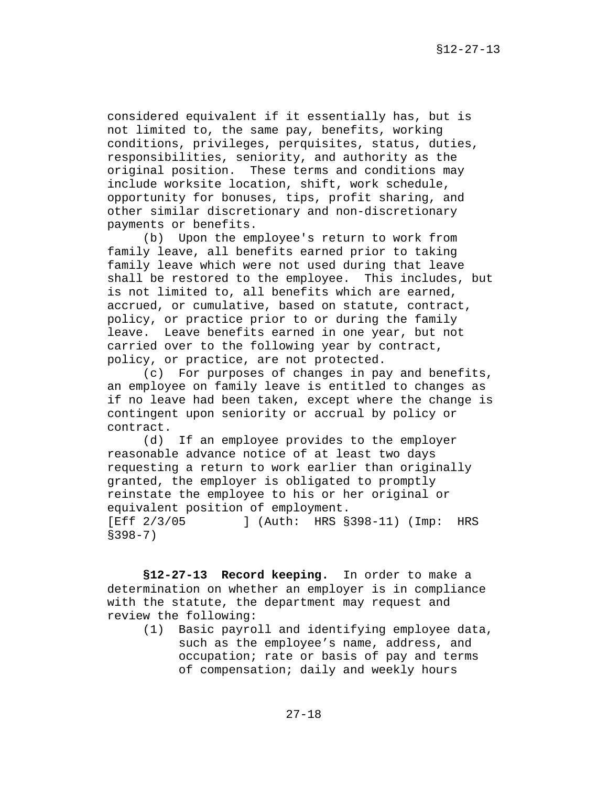considered equivalent if it essentially has, but is not limited to, the same pay, benefits, working conditions, privileges, perquisites, status, duties, responsibilities, seniority, and authority as the original position. These terms and conditions may include worksite location, shift, work schedule, opportunity for bonuses, tips, profit sharing, and other similar discretionary and non-discretionary payments or benefits.

(b) Upon the employee's return to work from family leave, all benefits earned prior to taking family leave which were not used during that leave shall be restored to the employee. This includes, but is not limited to, all benefits which are earned, accrued, or cumulative, based on statute, contract, policy, or practice prior to or during the family leave. Leave benefits earned in one year, but not carried over to the following year by contract, policy, or practice, are not protected.

(c) For purposes of changes in pay and benefits, an employee on family leave is entitled to changes as if no leave had been taken, except where the change is contingent upon seniority or accrual by policy or contract.

(d) If an employee provides to the employer reasonable advance notice of at least two days requesting a return to work earlier than originally granted, the employer is obligated to promptly reinstate the employee to his or her original or equivalent position of employment. [Eff 2/3/05 ] (Auth: HRS §398-11) (Imp: HRS §398-7)

**§12-27-13 Record keeping.** In order to make a determination on whether an employer is in compliance with the statute, the department may request and review the following:

(1) Basic payroll and identifying employee data, such as the employee's name, address, and occupation; rate or basis of pay and terms of compensation; daily and weekly hours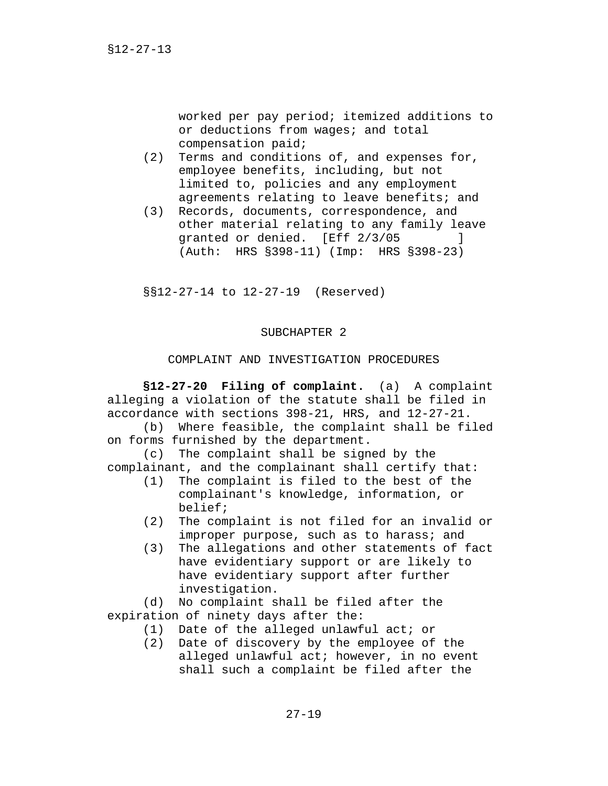worked per pay period; itemized additions to or deductions from wages; and total compensation paid;

- (2) Terms and conditions of, and expenses for, employee benefits, including, but not limited to, policies and any employment agreements relating to leave benefits; and
- (3) Records, documents, correspondence, and other material relating to any family leave granted or denied. [Eff 2/3/05 ] (Auth: HRS §398-11) (Imp: HRS §398-23)

§§12-27-14 to 12-27-19 (Reserved)

#### SUBCHAPTER 2

# COMPLAINT AND INVESTIGATION PROCEDURES

**§12-27-20 Filing of complaint.** (a) A complaint alleging a violation of the statute shall be filed in accordance with sections 398-21, HRS, and 12-27-21.

(b) Where feasible, the complaint shall be filed on forms furnished by the department.

(c) The complaint shall be signed by the complainant, and the complainant shall certify that:

- (1) The complaint is filed to the best of the complainant's knowledge, information, or belief;
- (2) The complaint is not filed for an invalid or improper purpose, such as to harass; and
- (3) The allegations and other statements of fact have evidentiary support or are likely to have evidentiary support after further investigation.

(d) No complaint shall be filed after the expiration of ninety days after the:

- (1) Date of the alleged unlawful act; or
- (2) Date of discovery by the employee of the alleged unlawful act; however, in no event shall such a complaint be filed after the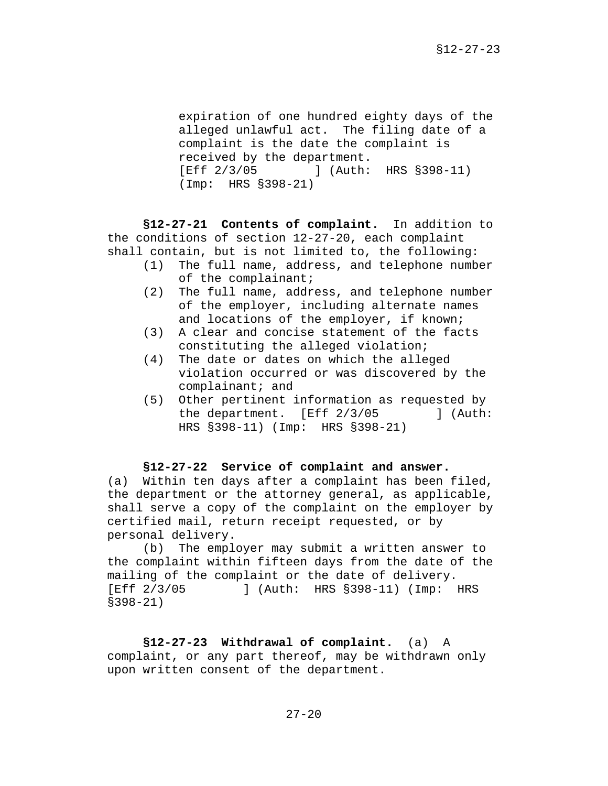expiration of one hundred eighty days of the alleged unlawful act. The filing date of a complaint is the date the complaint is received by the department. [Eff 2/3/05 ] (Auth: HRS §398-11) (Imp: HRS §398-21)

**§12-27-21 Contents of complaint.** In addition to the conditions of section 12-27-20, each complaint shall contain, but is not limited to, the following:

- (1) The full name, address, and telephone number of the complainant;
- (2) The full name, address, and telephone number of the employer, including alternate names and locations of the employer, if known;
- (3) A clear and concise statement of the facts constituting the alleged violation;
- (4) The date or dates on which the alleged violation occurred or was discovered by the complainant; and
- (5) Other pertinent information as requested by the department. [Eff 2/3/05 ] (Auth: HRS §398-11) (Imp: HRS §398-21)

#### **§12-27-22 Service of complaint and answer.**

(a) Within ten days after a complaint has been filed, the department or the attorney general, as applicable, shall serve a copy of the complaint on the employer by certified mail, return receipt requested, or by personal delivery.

(b) The employer may submit a written answer to the complaint within fifteen days from the date of the mailing of the complaint or the date of delivery. [Eff 2/3/05 ] (Auth: HRS §398-11) (Imp: HRS §398-21)

**§12-27-23 Withdrawal of complaint.** (a) A complaint, or any part thereof, may be withdrawn only upon written consent of the department.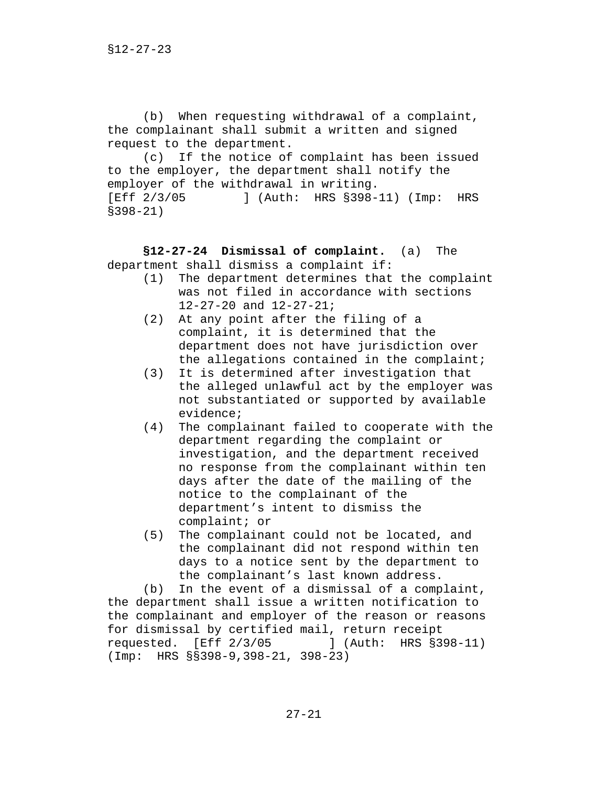(b) When requesting withdrawal of a complaint, the complainant shall submit a written and signed request to the department.

(c) If the notice of complaint has been issued to the employer, the department shall notify the employer of the withdrawal in writing. [Eff 2/3/05 ] (Auth: HRS §398-11) (Imp: HRS §398-21)

**§12-27-24 Dismissal of complaint.** (a) The department shall dismiss a complaint if:

- (1) The department determines that the complaint was not filed in accordance with sections 12-27-20 and 12-27-21;
- (2) At any point after the filing of a complaint, it is determined that the department does not have jurisdiction over the allegations contained in the complaint;
- (3) It is determined after investigation that the alleged unlawful act by the employer was not substantiated or supported by available evidence;
- (4) The complainant failed to cooperate with the department regarding the complaint or investigation, and the department received no response from the complainant within ten days after the date of the mailing of the notice to the complainant of the department's intent to dismiss the complaint; or
- (5) The complainant could not be located, and the complainant did not respond within ten days to a notice sent by the department to the complainant's last known address.

(b) In the event of a dismissal of a complaint, the department shall issue a written notification to the complainant and employer of the reason or reasons for dismissal by certified mail, return receipt requested. [Eff 2/3/05 ] (Auth: HRS §398-11) (Imp: HRS §§398-9,398-21, 398-23)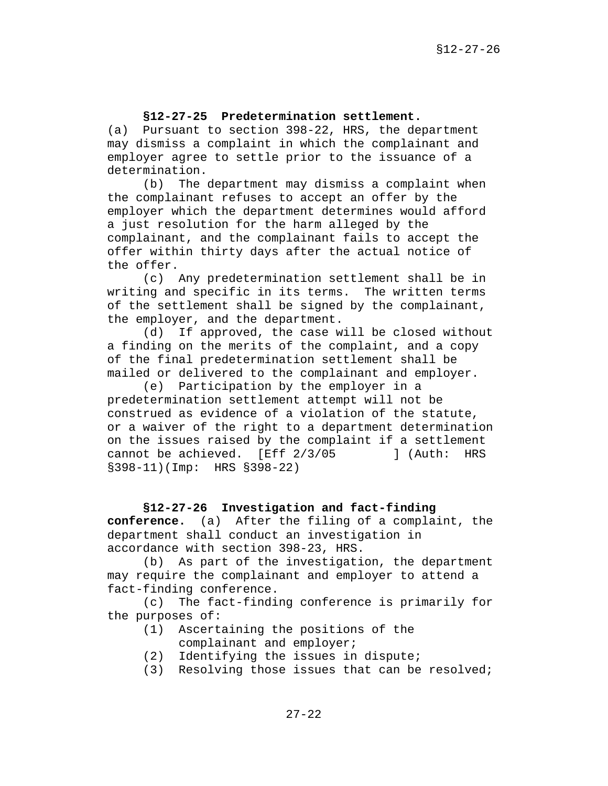### **§12-27-25 Predetermination settlement.**

(a) Pursuant to section 398-22, HRS, the department may dismiss a complaint in which the complainant and employer agree to settle prior to the issuance of a determination.

(b) The department may dismiss a complaint when the complainant refuses to accept an offer by the employer which the department determines would afford a just resolution for the harm alleged by the complainant, and the complainant fails to accept the offer within thirty days after the actual notice of the offer.

(c) Any predetermination settlement shall be in writing and specific in its terms. The written terms of the settlement shall be signed by the complainant, the employer, and the department.

(d) If approved, the case will be closed without a finding on the merits of the complaint, and a copy of the final predetermination settlement shall be mailed or delivered to the complainant and employer.

(e) Participation by the employer in a predetermination settlement attempt will not be construed as evidence of a violation of the statute, or a waiver of the right to a department determination on the issues raised by the complaint if a settlement cannot be achieved. [Eff 2/3/05 ] (Auth: HRS §398-11)(Imp: HRS §398-22)

**§12-27-26 Investigation and fact-finding conference.** (a) After the filing of a complaint, the department shall conduct an investigation in accordance with section 398-23, HRS.

(b) As part of the investigation, the department may require the complainant and employer to attend a fact-finding conference.

(c) The fact-finding conference is primarily for the purposes of:

- (1) Ascertaining the positions of the complainant and employer;
- (2) Identifying the issues in dispute;
- (3) Resolving those issues that can be resolved;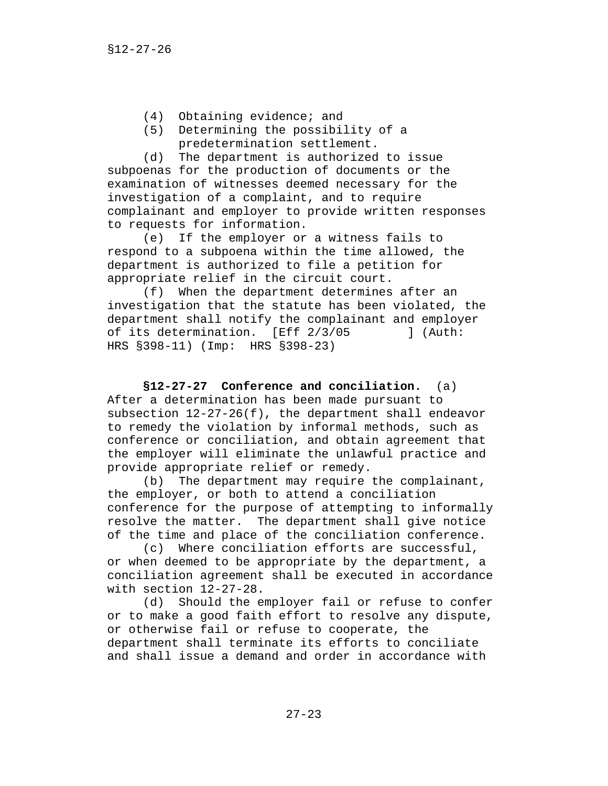- (4) Obtaining evidence; and
- (5) Determining the possibility of a predetermination settlement.

(d) The department is authorized to issue subpoenas for the production of documents or the examination of witnesses deemed necessary for the investigation of a complaint, and to require complainant and employer to provide written responses to requests for information.

(e) If the employer or a witness fails to respond to a subpoena within the time allowed, the department is authorized to file a petition for appropriate relief in the circuit court.

(f) When the department determines after an investigation that the statute has been violated, the department shall notify the complainant and employer of its determination. [Eff 2/3/05 ] (Auth: HRS §398-11) (Imp: HRS §398-23)

**§12-27-27 Conference and conciliation.** (a) After a determination has been made pursuant to subsection 12-27-26(f), the department shall endeavor to remedy the violation by informal methods, such as conference or conciliation, and obtain agreement that the employer will eliminate the unlawful practice and provide appropriate relief or remedy.

(b) The department may require the complainant, the employer, or both to attend a conciliation conference for the purpose of attempting to informally resolve the matter. The department shall give notice of the time and place of the conciliation conference.

(c) Where conciliation efforts are successful, or when deemed to be appropriate by the department, a conciliation agreement shall be executed in accordance with section 12-27-28.

(d) Should the employer fail or refuse to confer or to make a good faith effort to resolve any dispute, or otherwise fail or refuse to cooperate, the department shall terminate its efforts to conciliate and shall issue a demand and order in accordance with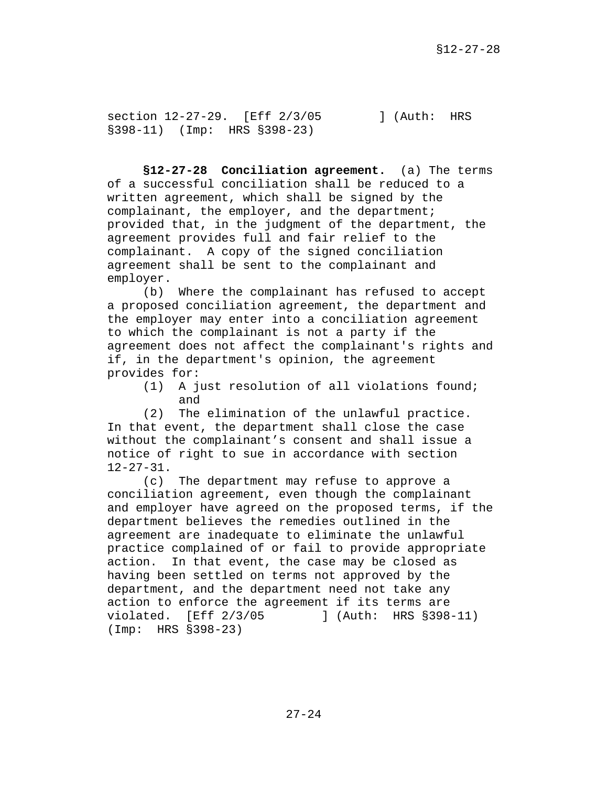section 12-27-29. [Eff 2/3/05 ] (Auth: HRS §398-11) (Imp: HRS §398-23)

**§12-27-28 Conciliation agreement.** (a) The terms of a successful conciliation shall be reduced to a written agreement, which shall be signed by the complainant, the employer, and the department; provided that, in the judgment of the department, the agreement provides full and fair relief to the complainant. A copy of the signed conciliation agreement shall be sent to the complainant and employer.

(b) Where the complainant has refused to accept a proposed conciliation agreement, the department and the employer may enter into a conciliation agreement to which the complainant is not a party if the agreement does not affect the complainant's rights and if, in the department's opinion, the agreement provides for:

(1) A just resolution of all violations found; and

(2) The elimination of the unlawful practice. In that event, the department shall close the case without the complainant's consent and shall issue a notice of right to sue in accordance with section 12-27-31.

(c) The department may refuse to approve a conciliation agreement, even though the complainant and employer have agreed on the proposed terms, if the department believes the remedies outlined in the agreement are inadequate to eliminate the unlawful practice complained of or fail to provide appropriate action. In that event, the case may be closed as having been settled on terms not approved by the department, and the department need not take any action to enforce the agreement if its terms are violated. [Eff 2/3/05 ] (Auth: HRS §398-11) (Imp: HRS §398-23)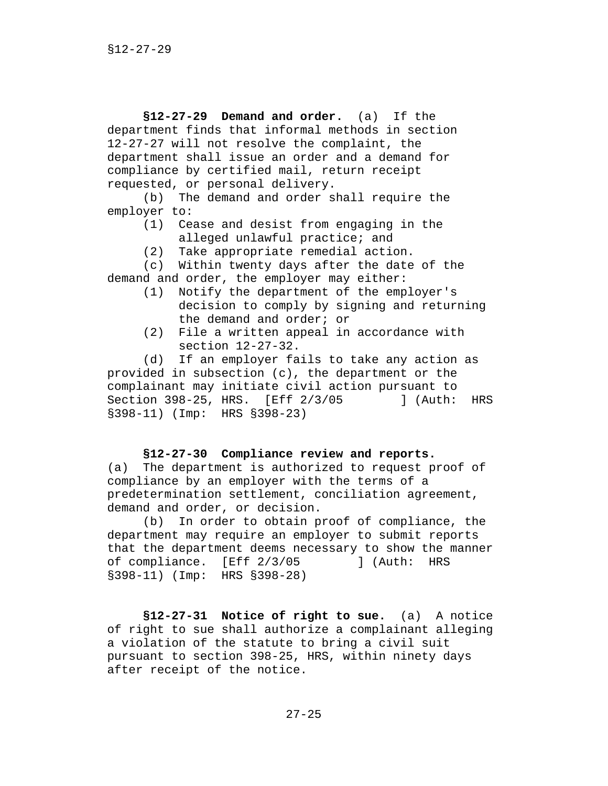**§12-27-29 Demand and order.** (a)If the department finds that informal methods in section 12-27-27 will not resolve the complaint, the department shall issue an order and a demand for compliance by certified mail, return receipt requested, or personal delivery.

(b) The demand and order shall require the employer to:

- (1) Cease and desist from engaging in the alleged unlawful practice; and
- (2) Take appropriate remedial action.

(c) Within twenty days after the date of the demand and order, the employer may either:

- (1) Notify the department of the employer's decision to comply by signing and returning the demand and order; or
- (2) File a written appeal in accordance with section 12-27-32.

(d) If an employer fails to take any action as provided in subsection (c), the department or the complainant may initiate civil action pursuant to Section 398-25, HRS. [Eff 2/3/05 ] (Auth: HRS §398-11) (Imp: HRS §398-23)

# **§12-27-30 Compliance review and reports.**

(a) The department is authorized to request proof of compliance by an employer with the terms of a predetermination settlement, conciliation agreement, demand and order, or decision.

(b) In order to obtain proof of compliance, the department may require an employer to submit reports that the department deems necessary to show the manner of compliance. [Eff 2/3/05 ] (Auth: HRS §398-11) (Imp: HRS §398-28)

**§12-27-31 Notice of right to sue.** (a) A notice of right to sue shall authorize a complainant alleging a violation of the statute to bring a civil suit pursuant to section 398-25, HRS, within ninety days after receipt of the notice.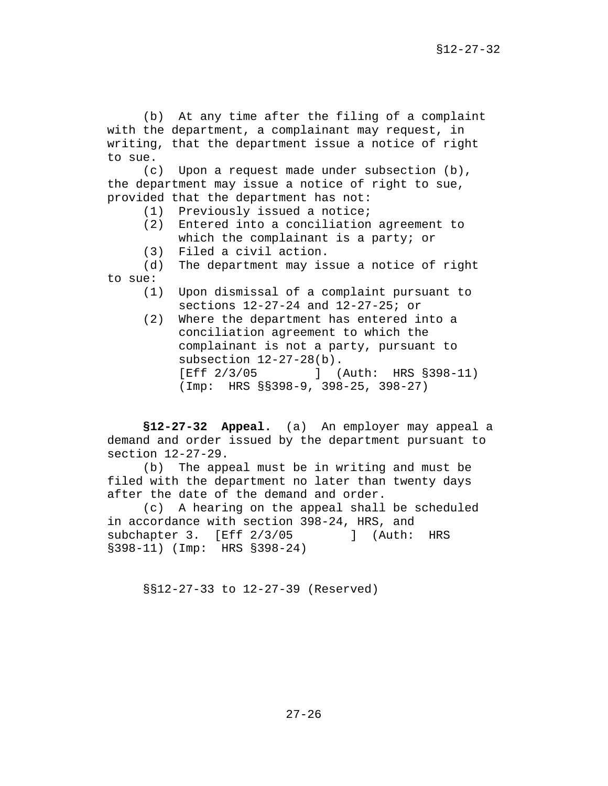(b) At any time after the filing of a complaint with the department, a complainant may request, in writing, that the department issue a notice of right to sue.

(c) Upon a request made under subsection (b), the department may issue a notice of right to sue, provided that the department has not:

- (1) Previously issued a notice;
- (2) Entered into a conciliation agreement to which the complainant is a party; or
- (3) Filed a civil action.

(d) The department may issue a notice of right to sue:

- (1) Upon dismissal of a complaint pursuant to sections 12-27-24 and 12-27-25; or
- (2) Where the department has entered into a conciliation agreement to which the complainant is not a party, pursuant to subsection 12-27-28(b). [Eff 2/3/05 ] (Auth: HRS §398-11) (Imp: HRS §§398-9, 398-25, 398-27)

**§12-27-32 Appeal.** (a) An employer may appeal a demand and order issued by the department pursuant to section 12-27-29.

(b) The appeal must be in writing and must be filed with the department no later than twenty days after the date of the demand and order.

(c) A hearing on the appeal shall be scheduled in accordance with section 398-24, HRS, and subchapter 3. [Eff 2/3/05 ] (Auth: HRS §398-11) (Imp: HRS §398-24)

§§12-27-33 to 12-27-39 (Reserved)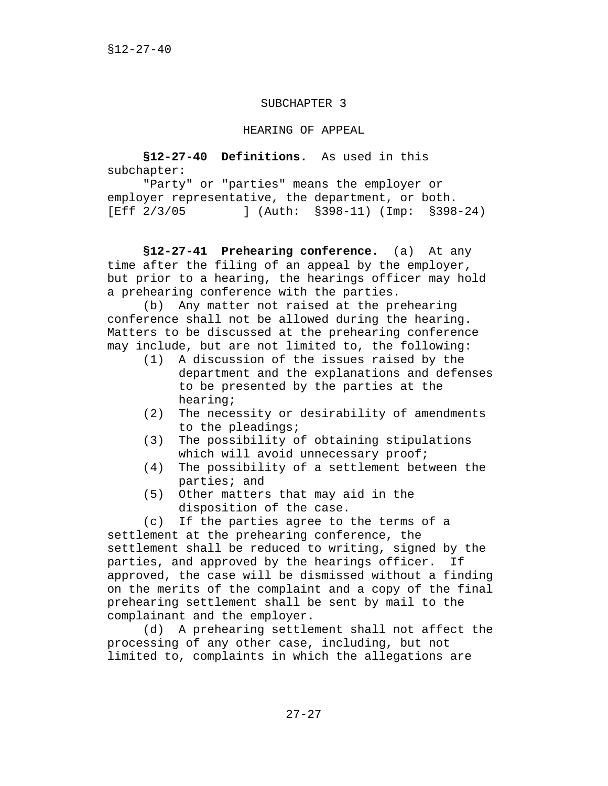### SUBCHAPTER 3

### HEARING OF APPEAL

**§12-27-40 Definitions.** As used in this subchapter:

"Party" or "parties" means the employer or employer representative, the department, or both. [Eff 2/3/05 ] (Auth: §398-11) (Imp: §398-24)

**§12-27-41 Prehearing conference.** (a) At any time after the filing of an appeal by the employer, but prior to a hearing, the hearings officer may hold a prehearing conference with the parties.

(b) Any matter not raised at the prehearing conference shall not be allowed during the hearing. Matters to be discussed at the prehearing conference may include, but are not limited to, the following:

- (1) A discussion of the issues raised by the department and the explanations and defenses to be presented by the parties at the hearing;
- (2) The necessity or desirability of amendments to the pleadings;
- (3) The possibility of obtaining stipulations which will avoid unnecessary proof;
- (4) The possibility of a settlement between the parties; and
- (5) Other matters that may aid in the disposition of the case.

(c) If the parties agree to the terms of a settlement at the prehearing conference, the settlement shall be reduced to writing, signed by the parties, and approved by the hearings officer. If approved, the case will be dismissed without a finding on the merits of the complaint and a copy of the final prehearing settlement shall be sent by mail to the complainant and the employer.

(d) A prehearing settlement shall not affect the processing of any other case, including, but not limited to, complaints in which the allegations are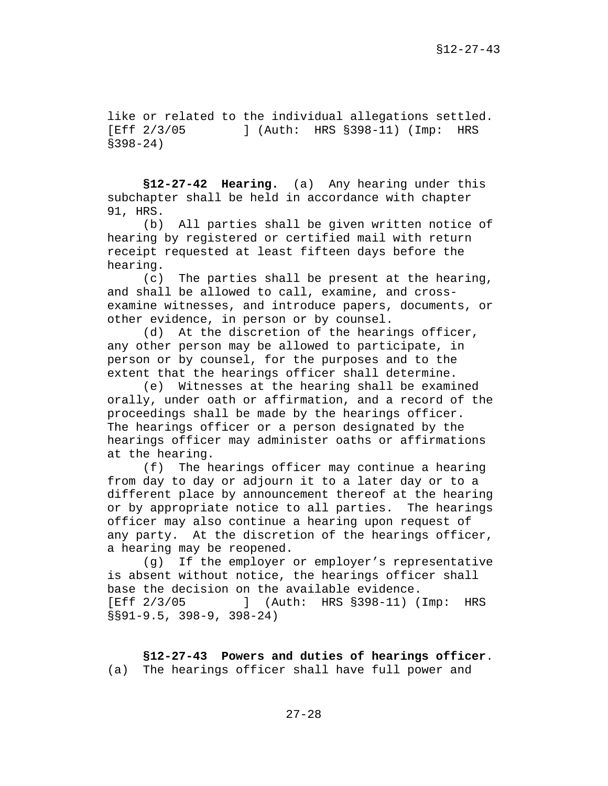like or related to the individual allegations settled. [Eff 2/3/05 ] (Auth: HRS §398-11) (Imp: HRS §398-24)

**§12-27-42 Hearing.** (a) Any hearing under this subchapter shall be held in accordance with chapter 91, HRS.

(b) All parties shall be given written notice of hearing by registered or certified mail with return receipt requested at least fifteen days before the hearing.

(c) The parties shall be present at the hearing, and shall be allowed to call, examine, and crossexamine witnesses, and introduce papers, documents, or other evidence, in person or by counsel.

(d) At the discretion of the hearings officer, any other person may be allowed to participate, in person or by counsel, for the purposes and to the extent that the hearings officer shall determine.

(e) Witnesses at the hearing shall be examined orally, under oath or affirmation, and a record of the proceedings shall be made by the hearings officer. The hearings officer or a person designated by the hearings officer may administer oaths or affirmations at the hearing.

(f) The hearings officer may continue a hearing from day to day or adjourn it to a later day or to a different place by announcement thereof at the hearing or by appropriate notice to all parties. The hearings officer may also continue a hearing upon request of any party. At the discretion of the hearings officer, a hearing may be reopened.

(g) If the employer or employer's representative is absent without notice, the hearings officer shall base the decision on the available evidence. [Eff 2/3/05 ] (Auth: HRS §398-11) (Imp: HRS §§91-9.5, 398-9, 398-24)

**§12-27-43 Powers and duties of hearings officer**. (a) The hearings officer shall have full power and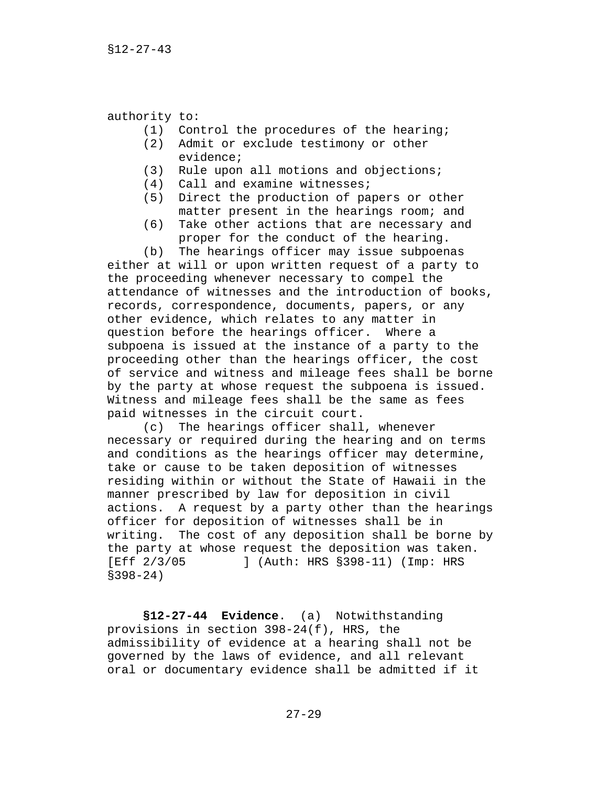authority to:

- (1) Control the procedures of the hearing;
- (2) Admit or exclude testimony or other evidence;
- (3) Rule upon all motions and objections;
- (4) Call and examine witnesses;
- (5) Direct the production of papers or other matter present in the hearings room; and
- (6) Take other actions that are necessary and proper for the conduct of the hearing.

(b) The hearings officer may issue subpoenas either at will or upon written request of a party to the proceeding whenever necessary to compel the attendance of witnesses and the introduction of books, records, correspondence, documents, papers, or any other evidence, which relates to any matter in question before the hearings officer. Where a subpoena is issued at the instance of a party to the proceeding other than the hearings officer, the cost of service and witness and mileage fees shall be borne by the party at whose request the subpoena is issued. Witness and mileage fees shall be the same as fees paid witnesses in the circuit court.

(c) The hearings officer shall, whenever necessary or required during the hearing and on terms and conditions as the hearings officer may determine, take or cause to be taken deposition of witnesses residing within or without the State of Hawaii in the manner prescribed by law for deposition in civil actions. A request by a party other than the hearings officer for deposition of witnesses shall be in writing. The cost of any deposition shall be borne by the party at whose request the deposition was taken. [Eff 2/3/05 ] (Auth: HRS §398-11) (Imp: HRS §398-24)

**§12-27-44 Evidence**. (a) Notwithstanding provisions in section 398-24(f), HRS, the admissibility of evidence at a hearing shall not be governed by the laws of evidence, and all relevant oral or documentary evidence shall be admitted if it